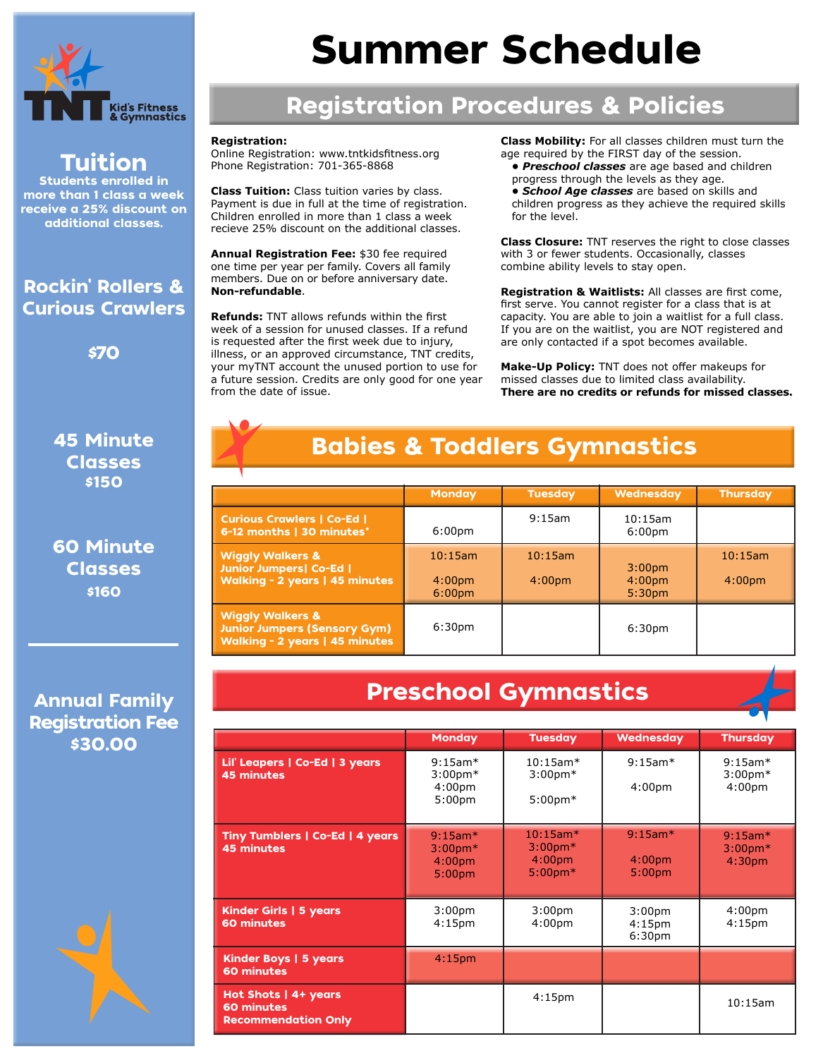

Tuition Students enrolled in more than 1 class a week receive a 25% discount on additional classes.

Rockin' Rollers & Curious Crawlers

\$70

45 Minute Classes \$150

60 Minute Classes \$160

# Summer Schedule

## Registration Procedures & Policies

#### **Registration:**

Online Registration: www.tntkidsfitness.org Phone Registration: 701-365-8868

**Class Tuition:** Class tuition varies by class. Payment is due in full at the time of registration. Children enrolled in more than 1 class a week recieve 25% discount on the additional classes.

**Annual Registration Fee:** \$30 fee required one time per year per family. Covers all family members. Due on or before anniversary date. **Non-refundable**.

**Refunds:** TNT allows refunds within the first week of a session for unused classes. If a refund is requested after the first week due to injury, illness, or an approved circumstance, TNT credits, your myTNT account the unused portion to use for a future session. Credits are only good for one year from the date of issue.

**Class Mobility:** For all classes children must turn the age required by the FIRST day of the session.

 *• Preschool classes* are age based and children progress through the levels as they age.  *• School Age classes* are based on skills and children progress as they achieve the required skills for the level.

**Class Closure:** TNT reserves the right to close classes with 3 or fewer students. Occasionally, classes combine ability levels to stay open.

**Registration & Waitlists:** All classes are first come, first serve. You cannot register for a class that is at capacity. You are able to join a waitlist for a full class. If you are on the waitlist, you are NOT registered and are only contacted if a spot becomes available.

**Make-Up Policy:** TNT does not offer makeups for missed classes due to limited class availability. **There are no credits or refunds for missed classes.** 

## Babies & Toddlers Gymnastics

|                                                                                                             | <b>Monday</b>                                       | <b>Tuesday</b>                | <b>Wednesday</b>                                               | Thursday                      |
|-------------------------------------------------------------------------------------------------------------|-----------------------------------------------------|-------------------------------|----------------------------------------------------------------|-------------------------------|
| <b>Curious Crawlers   Co-Ed  </b><br>6-12 months   30 minutes*                                              | 6:00 <sub>pm</sub>                                  | $9:15$ am                     | $10:15$ am<br>6:00 <sub>pm</sub>                               |                               |
| <b>Wiggly Walkers &amp;</b><br><b>Junior Jumpers  Co-Ed  </b><br><b>Walking - 2 years   45 minutes</b>      | 10:15am<br>4:00 <sub>pm</sub><br>6:00 <sub>pm</sub> | 10:15am<br>4:00 <sub>pm</sub> | 3:00 <sub>pm</sub><br>4:00 <sub>pm</sub><br>5:30 <sub>pm</sub> | 10:15am<br>4:00 <sub>pm</sub> |
| <b>Wiggly Walkers &amp;</b><br><b>Junior Jumpers (Sensory Gym)</b><br><b>Walking - 2 years   45 minutes</b> | 6:30 <sub>pm</sub>                                  |                               | 6:30 <sub>pm</sub>                                             |                               |

#### Annual Family Registration Fee \$30.00

## Preschool Gymnastics

|                                                                  | <b>Monday</b>                                                           | <b>Tuesday</b>                                                      | <b>Wednesday</b>                                               | <b>Thursday</b>                                   |
|------------------------------------------------------------------|-------------------------------------------------------------------------|---------------------------------------------------------------------|----------------------------------------------------------------|---------------------------------------------------|
| Lil' Leapers   Co-Ed   3 years<br><b>45 minutes</b>              | $9:15$ am*<br>$3:00$ pm $*$<br>4:00 <sub>pm</sub><br>5:00 <sub>pm</sub> | $10:15$ am $*$<br>$3:00$ pm $*$<br>$5:00$ pm $*$                    | $9:15$ am*<br>4:00 <sub>pm</sub>                               | $9:15$ am*<br>$3:00$ pm $*$<br>4:00 <sub>pm</sub> |
| Tiny Tumblers   Co-Ed   4 years<br><b>45 minutes</b>             | $9:15$ am*<br>$3:00$ pm $*$<br>4:00 <sub>pm</sub><br>5:00 <sub>pm</sub> | $10:15$ am*<br>$3:00$ pm $*$<br>4:00 <sub>pm</sub><br>$5:00$ pm $*$ | $9:15am*$<br>4:00 <sub>pm</sub><br>5:00 <sub>pm</sub>          | $9:15am*$<br>$3:00$ pm $*$<br>4:30 <sub>pm</sub>  |
| <b>Kinder Girls   5 years</b><br>60 minutes                      | 3:00 <sub>pm</sub><br>4:15 <sub>pm</sub>                                | 3:00 <sub>pm</sub><br>4:00 <sub>pm</sub>                            | 3:00 <sub>pm</sub><br>4:15 <sub>pm</sub><br>6:30 <sub>pm</sub> | 4:00 <sub>pm</sub><br>4:15 <sub>pm</sub>          |
| Kinder Boys   5 years<br>60 minutes                              | 4:15 <sub>pm</sub>                                                      |                                                                     |                                                                |                                                   |
| Hot Shots   4+ years<br>60 minutes<br><b>Recommendation Only</b> |                                                                         | 4:15 <sub>pm</sub>                                                  |                                                                | 10:15am                                           |